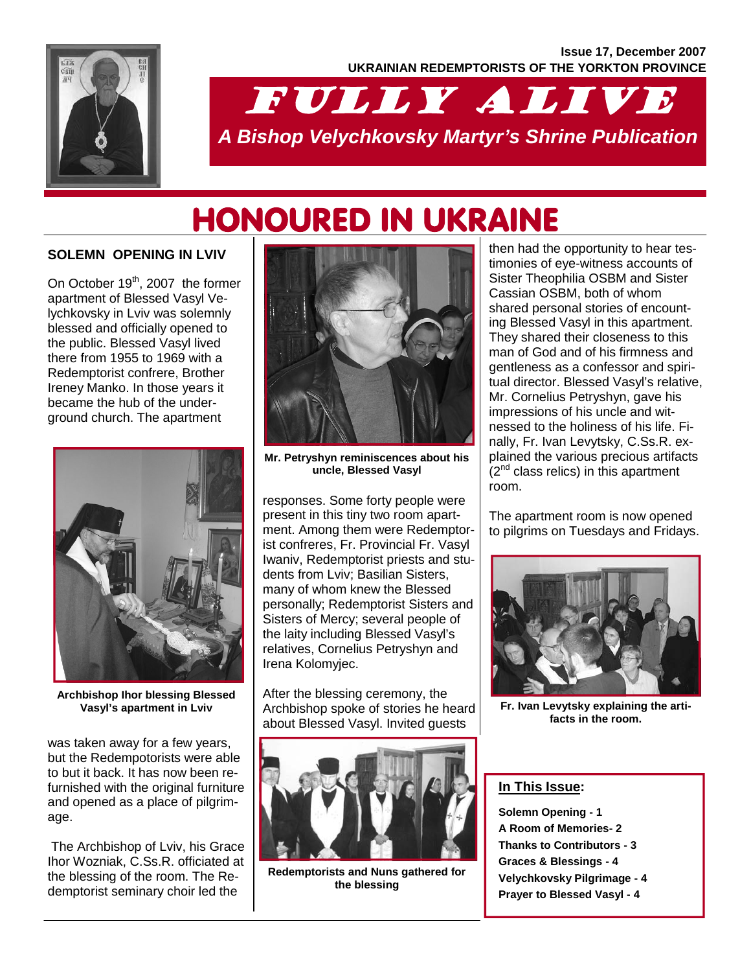

# FULLY ALIVE *A Bishop Velychkovsky Martyr's Shrine Publication*

# HONOURED IN UKRAINE

### **SOLEMN OPENING IN LVIV**

On October 19<sup>th</sup>, 2007 the former apartment of Blessed Vasyl Velychkovsky in Lviv was solemnly blessed and officially opened to the public. Blessed Vasyl lived there from 1955 to 1969 with a Redemptorist confrere, Brother Ireney Manko. In those years it became the hub of the underground church. The apartment



**Archbishop Ihor blessing Blessed Vasyl's apartment in Lviv** 

was taken away for a few years, but the Redempotorists were able to but it back. It has now been refurnished with the original furniture and opened as a place of pilgrimage.

 The Archbishop of Lviv, his Grace Ihor Wozniak, C.Ss.R. officiated at the blessing of the room. The Redemptorist seminary choir led the



**Mr. Petryshyn reminiscences about his uncle, Blessed Vasyl** 

responses. Some forty people were present in this tiny two room apartment. Among them were Redemptorist confreres, Fr. Provincial Fr. Vasyl Iwaniv, Redemptorist priests and students from Lviv; Basilian Sisters, many of whom knew the Blessed personally; Redemptorist Sisters and Sisters of Mercy; several people of the laity including Blessed Vasyl's relatives, Cornelius Petryshyn and Irena Kolomyjec.

After the blessing ceremony, the Archbishop spoke of stories he heard about Blessed Vasyl. Invited guests



**Redemptorists and Nuns gathered for the blessing** 

then had the opportunity to hear testimonies of eye-witness accounts of Sister Theophilia OSBM and Sister Cassian OSBM, both of whom shared personal stories of encounting Blessed Vasyl in this apartment. They shared their closeness to this man of God and of his firmness and gentleness as a confessor and spiritual director. Blessed Vasyl's relative, Mr. Cornelius Petryshyn, gave his impressions of his uncle and witnessed to the holiness of his life. Finally, Fr. Ivan Levytsky, C.Ss.R. explained the various precious artifacts  $(2^{nd}$  class relics) in this apartment room.

The apartment room is now opened to pilgrims on Tuesdays and Fridays.



**Fr. Ivan Levytsky explaining the artifacts in the room.** 

### **In This Issue:**

**Solemn Opening - 1 A Room of Memories- 2 Thanks to Contributors - 3 Graces & Blessings - 4 Velychkovsky Pilgrimage - 4 Prayer to Blessed Vasyl - 4**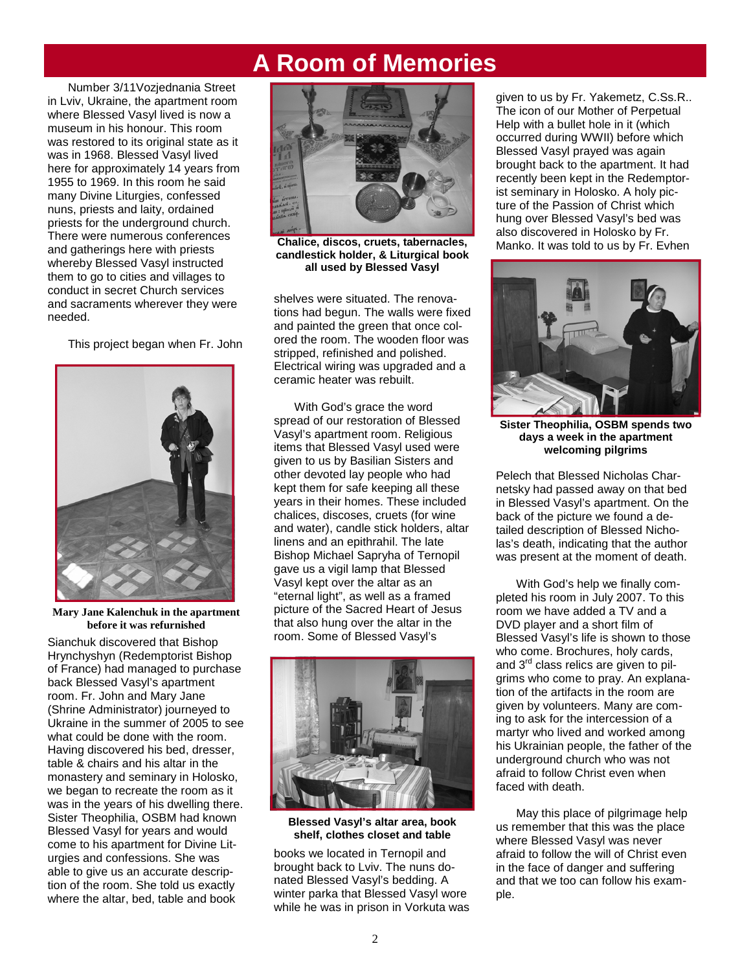# **A Room of Memories**

Number 3/11Vozjednania Street in Lviv, Ukraine, the apartment room where Blessed Vasyl lived is now a museum in his honour. This room was restored to its original state as it was in 1968. Blessed Vasyl lived here for approximately 14 years from 1955 to 1969. In this room he said many Divine Liturgies, confessed nuns, priests and laity, ordained priests for the underground church. There were numerous conferences and gatherings here with priests whereby Blessed Vasyl instructed them to go to cities and villages to conduct in secret Church services and sacraments wherever they were needed.

This project began when Fr. John



**Mary Jane Kalenchuk in the apartment before it was refurnished** 

Sianchuk discovered that Bishop Hrynchyshyn (Redemptorist Bishop of France) had managed to purchase back Blessed Vasyl's apartment room. Fr. John and Mary Jane (Shrine Administrator) journeyed to Ukraine in the summer of 2005 to see what could be done with the room. Having discovered his bed, dresser, table & chairs and his altar in the monastery and seminary in Holosko, we began to recreate the room as it was in the years of his dwelling there. Sister Theophilia, OSBM had known Blessed Vasyl for years and would come to his apartment for Divine Liturgies and confessions. She was able to give us an accurate description of the room. She told us exactly where the altar, bed, table and book



**Chalice, discos, cruets, tabernacles, candlestick holder, & Liturgical book all used by Blessed Vasyl** 

shelves were situated. The renovations had begun. The walls were fixed and painted the green that once colored the room. The wooden floor was stripped, refinished and polished. Electrical wiring was upgraded and a ceramic heater was rebuilt.

 With God's grace the word spread of our restoration of Blessed Vasyl's apartment room. Religious items that Blessed Vasyl used were given to us by Basilian Sisters and other devoted lay people who had kept them for safe keeping all these years in their homes. These included chalices, discoses, cruets (for wine and water), candle stick holders, altar linens and an epithrahil. The late Bishop Michael Sapryha of Ternopil gave us a vigil lamp that Blessed Vasyl kept over the altar as an "eternal light", as well as a framed picture of the Sacred Heart of Jesus that also hung over the altar in the room. Some of Blessed Vasyl's



**Blessed Vasyl's altar area, book shelf, clothes closet and table** 

books we located in Ternopil and brought back to Lviv. The nuns donated Blessed Vasyl's bedding. A winter parka that Blessed Vasyl wore while he was in prison in Vorkuta was given to us by Fr. Yakemetz, C.Ss.R.. The icon of our Mother of Perpetual Help with a bullet hole in it (which occurred during WWII) before which Blessed Vasyl prayed was again brought back to the apartment. It had recently been kept in the Redemptorist seminary in Holosko. A holy picture of the Passion of Christ which hung over Blessed Vasyl's bed was also discovered in Holosko by Fr. Manko. It was told to us by Fr. Evhen



**Sister Theophilia, OSBM spends two days a week in the apartment welcoming pilgrims** 

Pelech that Blessed Nicholas Charnetsky had passed away on that bed in Blessed Vasyl's apartment. On the back of the picture we found a detailed description of Blessed Nicholas's death, indicating that the author was present at the moment of death.

 With God's help we finally completed his room in July 2007. To this room we have added a TV and a DVD player and a short film of Blessed Vasyl's life is shown to those who come. Brochures, holy cards, and 3<sup>rd</sup> class relics are given to pilgrims who come to pray. An explanation of the artifacts in the room are given by volunteers. Many are coming to ask for the intercession of a martyr who lived and worked among his Ukrainian people, the father of the underground church who was not afraid to follow Christ even when faced with death.

 May this place of pilgrimage help us remember that this was the place where Blessed Vasyl was never afraid to follow the will of Christ even in the face of danger and suffering and that we too can follow his example.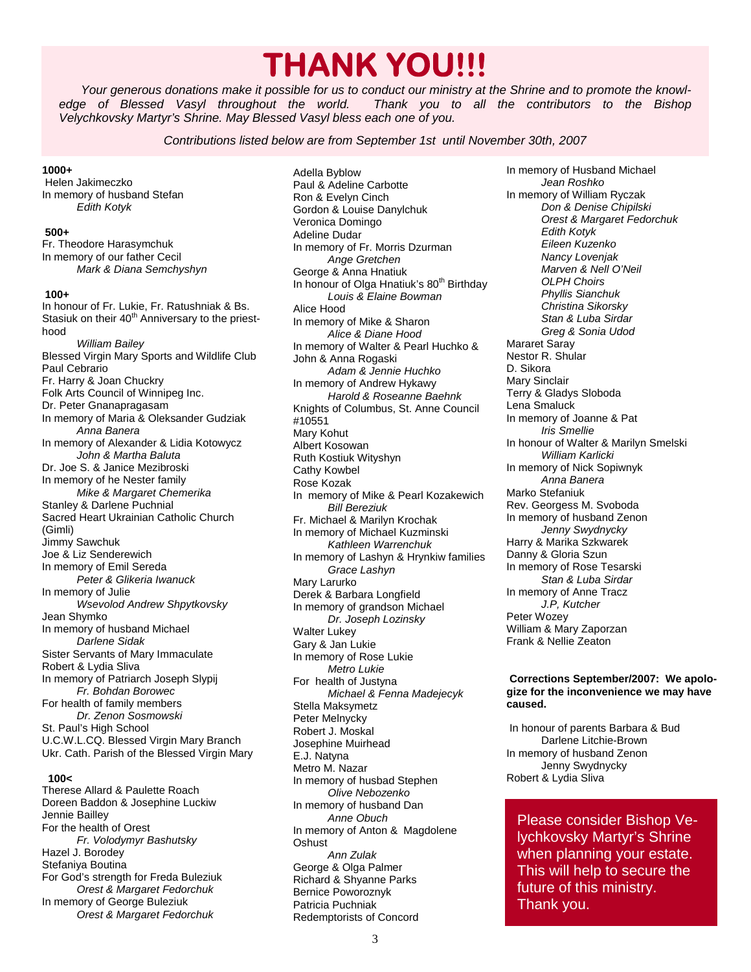# **THANK YOU!!!**

*Your generous donations make it possible for us to conduct our ministry at the Shrine and to promote the knowledge of Blessed Vasyl throughout the world. Thank you to all the contributors to the Bishop Velychkovsky Martyr's Shrine. May Blessed Vasyl bless each one of you.* 

*Contributions listed below are from September 1st until November 30th, 2007* 

#### **1000+**

 Helen Jakimeczko In memory of husband Stefan  *Edith Kotyk* 

#### **500+**

Fr. Theodore Harasymchuk In memory of our father Cecil  *Mark & Diana Semchyshyn*   **100+**  In honour of Fr. Lukie, Fr. Ratushniak & Bs. Stasiuk on their 40<sup>th</sup> Anniversary to the priesthood  *William Bailey*  Blessed Virgin Mary Sports and Wildlife Club Paul Cebrario Fr. Harry & Joan Chuckry Folk Arts Council of Winnipeg Inc. Dr. Peter Gnanapragasam In memory of Maria & Oleksander Gudziak  *Anna Banera*  In memory of Alexander & Lidia Kotowycz  *John & Martha Baluta*  Dr. Joe S. & Janice Mezibroski In memory of he Nester family  *Mike & Margaret Chemerika*  Stanley & Darlene Puchnial Sacred Heart Ukrainian Catholic Church (Gimli) Jimmy Sawchuk Joe & Liz Senderewich In memory of Emil Sereda  *Peter & Glikeria Iwanuck*  In memory of Julie  *Wsevolod Andrew Shpytkovsky*  Jean Shymko In memory of husband Michael  *Darlene Sidak*  Sister Servants of Mary Immaculate Robert & Lydia Sliva In memory of Patriarch Joseph Slypij

 *Fr. Bohdan Borowec*  For health of family members  *Dr. Zenon Sosmowski*  St. Paul's High School U.C.W.L.CQ. Blessed Virgin Mary Branch Ukr. Cath. Parish of the Blessed Virgin Mary

#### **100<**

Therese Allard & Paulette Roach Doreen Baddon & Josephine Luckiw Jennie Bailley For the health of Orest  *Fr. Volodymyr Bashutsky*  Hazel J. Borodey Stefaniya Boutina For God's strength for Freda Buleziuk  *Orest & Margaret Fedorchuk*  In memory of George Buleziuk  *Orest & Margaret Fedorchuk* 

Adella Byblow Paul & Adeline Carbotte Ron & Evelyn Cinch Gordon & Louise Danylchuk Veronica Domingo Adeline Dudar In memory of Fr. Morris Dzurman  *Ange Gretchen*  George & Anna Hnatiuk In honour of Olga Hnatiuk's 80<sup>th</sup> Birthday  *Louis & Elaine Bowman*  Alice Hood In memory of Mike & Sharon  *Alice & Diane Hood*  In memory of Walter & Pearl Huchko & John & Anna Rogaski  *Adam & Jennie Huchko*  In memory of Andrew Hykawy  *Harold & Roseanne Baehnk*  Knights of Columbus, St. Anne Council #10551 Mary Kohut Albert Kosowan Ruth Kostiuk Wityshyn Cathy Kowbel Rose Kozak In memory of Mike & Pearl Kozakewich  *Bill Bereziuk*  Fr. Michael & Marilyn Krochak In memory of Michael Kuzminski  *Kathleen Warrenchuk*  In memory of Lashyn & Hrynkiw families  *Grace Lashyn*  Mary Larurko Derek & Barbara Longfield In memory of grandson Michael  *Dr. Joseph Lozinsky*  Walter Lukey Gary & Jan Lukie In memory of Rose Lukie  *Metro Lukie*  For health of Justyna  *Michael & Fenna Madejecyk*  Stella Maksymetz Peter Melnycky Robert J. Moskal Josephine Muirhead E.J. Natyna Metro M. Nazar In memory of husbad Stephen  *Olive Nebozenko*  In memory of husband Dan  *Anne Obuch*  In memory of Anton & Magdolene **Oshust**  *Ann Zulak*  George & Olga Palmer Richard & Shyanne Parks Bernice Poworoznyk Patricia Puchniak Redemptorists of Concord

In memory of Husband Michael  *Jean Roshko*  In memory of William Ryczak  *Don & Denise Chipilski Orest & Margaret Fedorchuk Edith Kotyk Eileen Kuzenko Nancy Lovenjak Marven & Nell O'Neil OLPH Choirs Phyllis Sianchuk Christina Sikorsky Stan & Luba Sirdar Greg & Sonia Udod*  Mararet Saray Nestor R. Shular D. Sikora Mary Sinclair Terry & Gladys Sloboda Lena Smaluck In memory of Joanne & Pat  *Iris Smellie*  In honour of Walter & Marilyn Smelski  *William Karlicki*  In memory of Nick Sopiwnyk  *Anna Banera*  Marko Stefaniuk Rev. Georgess M. Svoboda In memory of husband Zenon  *Jenny Swydnycky*  Harry & Marika Szkwarek Danny & Gloria Szun In memory of Rose Tesarski  *Stan & Luba Sirdar*  In memory of Anne Tracz  *J.P, Kutcher*  Peter Wozey William & Mary Zaporzan Frank & Nellie Zeaton

#### **Corrections September/2007: We apologize for the inconvenience we may have caused.**

 In honour of parents Barbara & Bud Darlene Litchie-Brown In memory of husband Zenon Jenny Swydnycky Robert & Lydia Sliva

Please consider Bishop Velychkovsky Martyr's Shrine when planning your estate. This will help to secure the future of this ministry. Thank you.